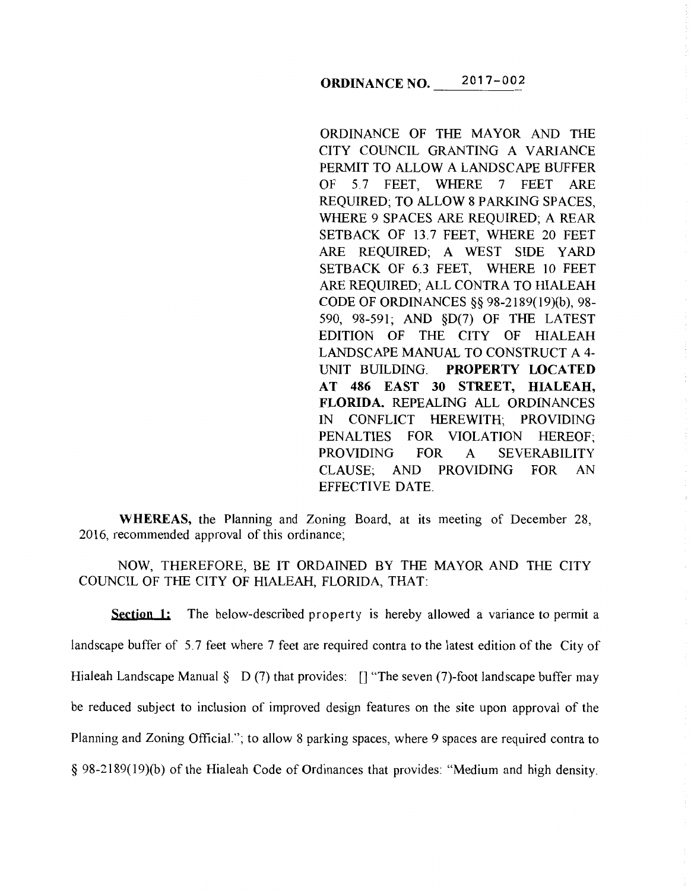# **ORDINANCE NO.** 2017-002

ORDINANCE OF THE MAYOR AND THE CITY COUNCIL GRANTING A VARIANCE PERMIT TO ALLOW A LANDSCAPE BUFFER OF 5.7 FEET, WHERE 7 FEET ARE REQUIRED; TO ALLOW 8 PARKING SPACES, WHERE 9 SPACES ARE REQUIRED; A REAR SETBACK OF 13.7 FEET, WHERE 20 FEET ARE REQUIRED; A WEST SIDE YARD SETBACK OF 6.3 FEET, WHERE 10 FEET ARE REQUIRED; ALL CONTRA TO HIALEAH CODE OF ORDINANCES§§ 98-2189(19)(b), 98- 590, 98-591; AND §D(7) OF THE LATEST EDITION OF THE CITY OF HIALEAH LANDSCAPE MANUAL TO CONSTRUCT A 4- UNIT BUILDING. **PROPERTY LOCATED AT 486 EAST 30 STREET, HIALEAH, FLORIDA.** REPEALING ALL ORDINANCES IN CONFLICT HEREWITH; PROVIDING PENALTIES FOR VIOLATION HEREOF; PROVIDING FOR A SEVERABILITY CLAUSE; AND PROVIDING FOR AN EFFECTIVE DATE.

**WHEREAS,** the Planning and Zoning Board, at its meeting of December 28, 2016, recommended approval of this ordinance;

NOW, THEREFORE, BE IT ORDAINED BY THE MAYOR AND THE CITY COUNCIL OF THE CITY OF HIALEAH, FLORIDA, THAT:

**Section 1:** The below-described property is hereby allowed a variance to permit a landscape buffer of 5.7 feet where 7 feet are required contra to the latest edition of the City of Hialeah Landscape Manual  $\S$  D (7) that provides: [] "The seven (7)-foot landscape buffer may be reduced subject to inclusion of improved design features on the site upon approval of the Planning and Zoning Official."; to allow 8 parking spaces, where 9 spaces are required contra to § 98-2189( 19)(b) of the Hialeah Code of Ordinances that provides: "Medium and high density.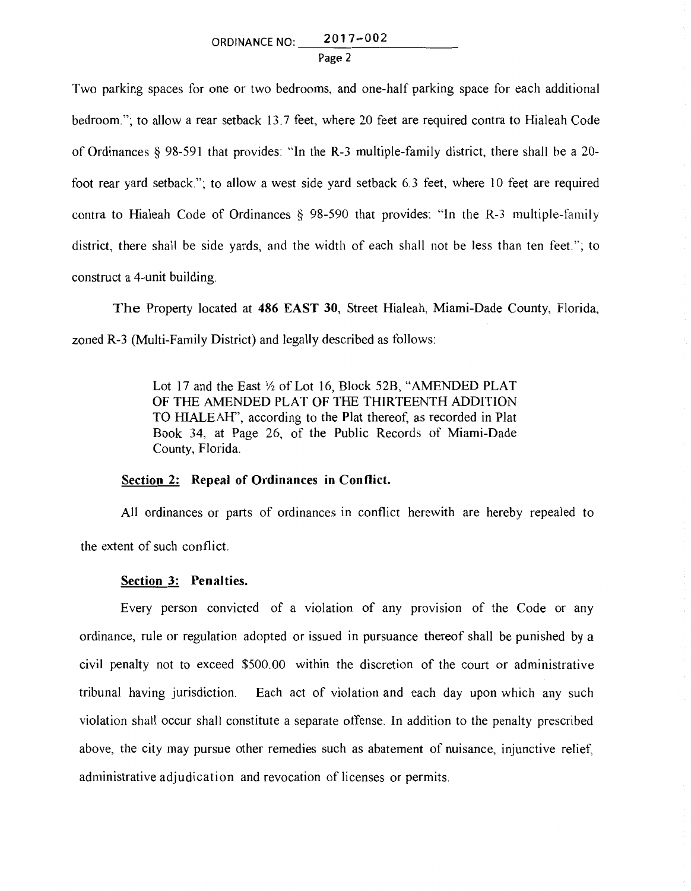Page 2

Two parking spaces for one or two bedrooms, and one-half parking space for each additional bedroom."; to allow a rear setback 13.7 feet, where 20 feet are required contra to Hialeah Code of Ordinances § 98-591 that provides: "In the R-3 multiple-family district, there shall be a 20 foot rear yard setback''; to allow a west side yard setback 6.3 feet, where 10 feet are required contra to Hialeah Code of Ordinances § 98-590 that provides: "In the R-3 multiple-family district, there shall be side yards, and the width of each shall not be less than ten feet."; to construct a 4-unit building.

The Property located at 486 EAST 30, Street Hialeah, Miami-Dade County, Florida, zoned R-3 (Multi-Family District) and legally described as follows:

> Lot 17 and the East <sup>1</sup>/<sub>2</sub> of Lot 16, Block 52B, "AMENDED PLAT OF THE AMENDED PLAT OF THE THIRTEENTH ADDITION TO HIALEAH", according to the Plat thereof, as recorded in Plat Book 34, at Page 26, of the Public Records of Miami-Dade County, Florida.

### Section 2: Repeal of Ordinances in Conflict.

All ordinances or parts of ordinances in conflict herewith are hereby repealed to the extent of such conflict.

## Section 3: Penalties.

Every person convicted of a violation of any provision of the Code or any ordinance, rule or regulation adopted or issued in pursuance thereof shall be punished by a civil penalty not to exceed \$500.00 within the discretion of the court or administrative tribunal having jurisdiction. Each act of violation and each day upon which any such violation shall occur shall constitute a separate offense. In addition to the penalty prescribed above, the city may pursue other remedies such as abatement of nuisance, injunctive relief, administrative adjudication and revocation of licenses or permits.